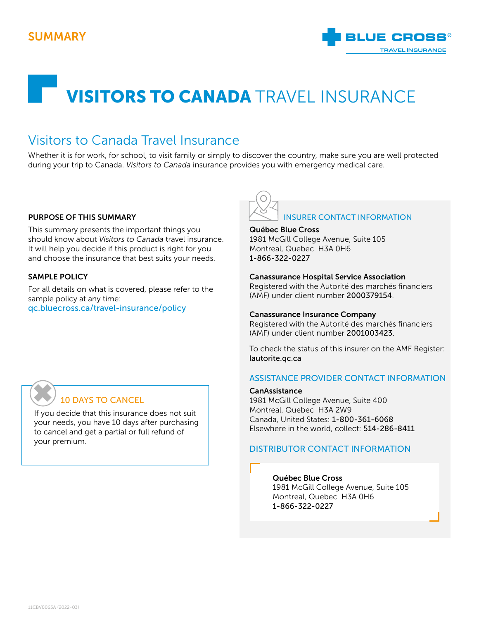

# **VISITORS TO CANADA TRAVEL INSURANCE**

# Visitors to Canada Travel Insurance

Whether it is for work, for school, to visit family or simply to discover the country, make sure you are well protected during your trip to Canada. *Visitors to Canada* insurance provides you with emergency medical care.

#### PURPOSE OF THIS SUMMARY

This summary presents the important things you should know about *Visitors to Canada* travel insurance. It will help you decide if this product is right for you and choose the insurance that best suits your needs.

#### SAMPLE POLICY

For all details on what is covered, please refer to the sample policy at any time: [qc.bluecross.ca/travel-insurance/policy](https://qc.bluecross.ca/travel-insurance/travel-insurance-101/sample-of-insurance-policies)



#### Québec Blue Cross

1981 McGill College Avenue, Suite 105 Montreal, Quebec H3A 0H6 1-866-322-0227

#### Canassurance Hospital Service Association

Registered with the Autorité des marchés financiers (AMF) under client number 2000379154.

#### Canassurance Insurance Company

Registered with the Autorité des marchés financiers (AMF) under client number 2001003423.

To check the status of this insurer on the AMF Register: [lautorite.qc.ca](https://lautorite.qc.ca )

#### ASSISTANCE PROVIDER CONTACT INFORMATION

#### **CanAssistance**

1981 McGill College Avenue, Suite 400 Montreal, Quebec H3A 2W9 Canada, United States: 1-800-361-6068 Elsewhere in the world, collect: 514-286-8411

## DISTRIBUTOR CONTACT INFORMATION

#### Québec Blue Cross 1981 McGill College Avenue, Suite 105 Montreal, Quebec H3A 0H6 1-866-322-0227

# 10 DAYS TO CANCEL ✖

If you decide that this insurance does not suit your needs, you have 10 days after purchasing to cancel and get a partial or full refund of your premium.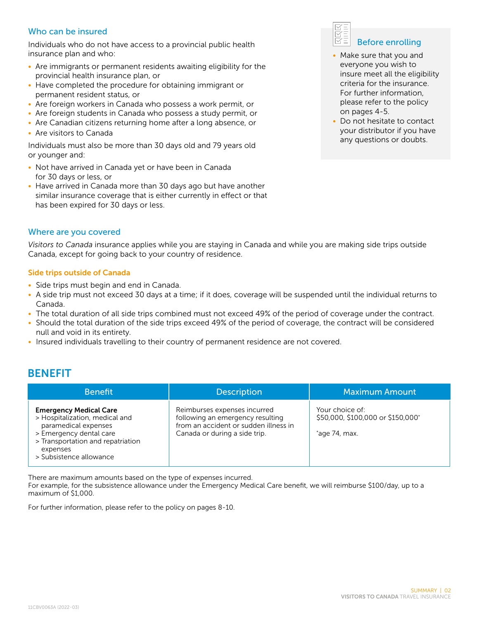## Who can be insured

Individuals who do not have access to a provincial public health insurance plan and who:

- Are immigrants or permanent residents awaiting eligibility for the provincial health insurance plan, or
- Have completed the procedure for obtaining immigrant or permanent resident status, or
- Are foreign workers in Canada who possess a work permit, or
- Are foreign students in Canada who possess a study permit, or
- Are Canadian citizens returning home after a long absence, or
- Are visitors to Canada

Individuals must also be more than 30 days old and 79 years old or younger and:

- Not have arrived in Canada yet or have been in Canada for 30 days or less, or
- Have arrived in Canada more than 30 days ago but have another similar insurance coverage that is either currently in effect or that has been expired for 30 days or less.

#### Where are you covered

*Visitors to Canada* insurance applies while you are staying in Canada and while you are making side trips outside Canada, except for going back to your country of residence.

#### Side trips outside of Canada

- Side trips must begin and end in Canada.
- A side trip must not exceed 30 days at a time; if it does, coverage will be suspended until the individual returns to Canada.
- The total duration of all side trips combined must not exceed 49% of the period of coverage under the contract.
- Should the total duration of the side trips exceed 49% of the period of coverage, the contract will be considered null and void in its entirety.
- Insured individuals travelling to their country of permanent residence are not covered.

## BENEFIT

| <b>Benefit</b>                                                                                                                                                                                 | <b>Description</b>                                                                                                                         | <b>Maximum Amount</b>                                                     |
|------------------------------------------------------------------------------------------------------------------------------------------------------------------------------------------------|--------------------------------------------------------------------------------------------------------------------------------------------|---------------------------------------------------------------------------|
| <b>Emergency Medical Care</b><br>> Hospitalization, medical and<br>paramedical expenses<br>> Emergency dental care<br>> Transportation and repatriation<br>expenses<br>> Subsistence allowance | Reimburses expenses incurred<br>following an emergency resulting<br>from an accident or sudden illness in<br>Canada or during a side trip. | Your choice of:<br>\$50,000, \$100,000 or \$150,000*<br>$^*$ age 74, max. |

There are maximum amounts based on the type of expenses incurred.

For example, for the subsistence allowance under the Emergency Medical Care benefit, we will reimburse \$100/day, up to a maximum of \$1,000.

For further information, please refer to the policy on pages 8-10.



- Make sure that you and everyone you wish to insure meet all the eligibility criteria for the insurance. For further information, please refer to the policy on pages 4-5.
- Do not hesitate to contact your distributor if you have any questions or doubts.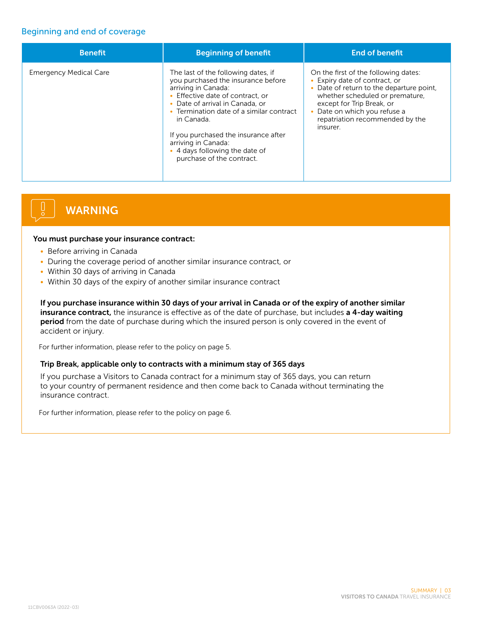## Beginning and end of coverage

| <b>Benefit</b>                | <b>Beginning of benefit</b>                                                                                                                                                                                                                                                                                                                                     | <b>End of benefit</b>                                                                                                                                                                                                                                        |
|-------------------------------|-----------------------------------------------------------------------------------------------------------------------------------------------------------------------------------------------------------------------------------------------------------------------------------------------------------------------------------------------------------------|--------------------------------------------------------------------------------------------------------------------------------------------------------------------------------------------------------------------------------------------------------------|
| <b>Emergency Medical Care</b> | The last of the following dates, if<br>you purchased the insurance before<br>arriving in Canada:<br>• Effective date of contract, or<br>• Date of arrival in Canada, or<br>• Termination date of a similar contract<br>in Canada.<br>If you purchased the insurance after<br>arriving in Canada:<br>• 4 days following the date of<br>purchase of the contract. | On the first of the following dates:<br>• Expiry date of contract, or<br>Date of return to the departure point.<br>whether scheduled or premature,<br>except for Trip Break, or<br>Date on which you refuse a<br>repatriation recommended by the<br>insurer. |

# WARNING

#### You must purchase your insurance contract:

- Before arriving in Canada
- During the coverage period of another similar insurance contract, or
- Within 30 days of arriving in Canada
- Within 30 days of the expiry of another similar insurance contract

If you purchase insurance within 30 days of your arrival in Canada or of the expiry of another similar insurance contract, the insurance is effective as of the date of purchase, but includes a 4-day waiting period from the date of purchase during which the insured person is only covered in the event of accident or injury.

For further information, please refer to the policy on page 5.

#### Trip Break, applicable only to contracts with a minimum stay of 365 days

If you purchase a Visitors to Canada contract for a minimum stay of 365 days, you can return to your country of permanent residence and then come back to Canada without terminating the insurance contract.

For further information, please refer to the policy on page 6.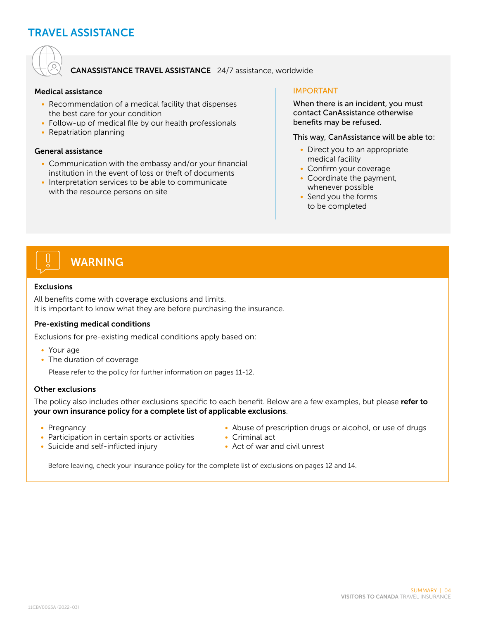# TRAVEL ASSISTANCE



### CANASSISTANCE TRAVEL ASSISTANCE 24/7 assistance, worldwide

#### Medical assistance

- Recommendation of a medical facility that dispenses the best care for your condition
- Follow-up of medical file by our health professionals
- Repatriation planning

#### General assistance

- Communication with the embassy and/or your financial institution in the event of loss or theft of documents
- Interpretation services to be able to communicate with the resource persons on site

#### IMPORTANT

When there is an incident, you must contact CanAssistance otherwise benefits may be refused.

This way, CanAssistance will be able to:

- Direct you to an appropriate medical facility
- Confirm your coverage
- Coordinate the payment, whenever possible
- Send you the forms to be completed



#### Exclusions

All benefits come with coverage exclusions and limits. It is important to know what they are before purchasing the insurance.

#### Pre-existing medical conditions

Exclusions for pre-existing medical conditions apply based on:

- Your age
- The duration of coverage

Please refer to the policy for further information on pages 11-12.

#### Other exclusions

The policy also includes other exclusions specific to each benefit. Below are a few examples, but please refer to your own insurance policy for a complete list of applicable exclusions.

- Pregnancy
- Participation in certain sports or activities
- Suicide and self-inflicted injury
- Abuse of prescription drugs or alcohol, or use of drugs
- Criminal act
- Act of war and civil unrest

Before leaving, check your insurance policy for the complete list of exclusions on pages 12 and 14.